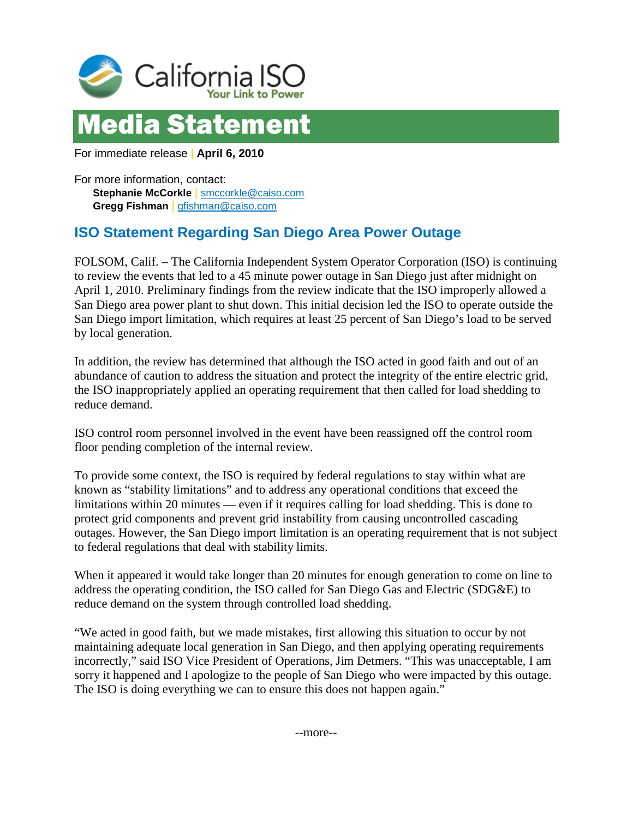

## Media Statement

For immediate release | **April 6, 2010**

For more information, contact: **Stephanie McCorkle** | [smccorkle@caiso.com](mailto:smccorkle@caiso.com) **Gregg Fishman** | [gfishman@caiso.com](mailto:gfishman@caiso.com)

## **ISO Statement Regarding San Diego Area Power Outage**

FOLSOM, Calif. – The California Independent System Operator Corporation (ISO) is continuing to review the events that led to a 45 minute power outage in San Diego just after midnight on April 1, 2010. Preliminary findings from the review indicate that the ISO improperly allowed a San Diego area power plant to shut down. This initial decision led the ISO to operate outside the San Diego import limitation, which requires at least 25 percent of San Diego's load to be served by local generation.

In addition, the review has determined that although the ISO acted in good faith and out of an abundance of caution to address the situation and protect the integrity of the entire electric grid, the ISO inappropriately applied an operating requirement that then called for load shedding to reduce demand.

ISO control room personnel involved in the event have been reassigned off the control room floor pending completion of the internal review.

To provide some context, the ISO is required by federal regulations to stay within what are known as "stability limitations" and to address any operational conditions that exceed the limitations within 20 minutes — even if it requires calling for load shedding. This is done to protect grid components and prevent grid instability from causing uncontrolled cascading outages. However, the San Diego import limitation is an operating requirement that is not subject to federal regulations that deal with stability limits.

When it appeared it would take longer than 20 minutes for enough generation to come on line to address the operating condition, the ISO called for San Diego Gas and Electric (SDG&E) to reduce demand on the system through controlled load shedding.

"We acted in good faith, but we made mistakes, first allowing this situation to occur by not maintaining adequate local generation in San Diego, and then applying operating requirements incorrectly," said ISO Vice President of Operations, Jim Detmers. "This was unacceptable, I am sorry it happened and I apologize to the people of San Diego who were impacted by this outage. The ISO is doing everything we can to ensure this does not happen again."